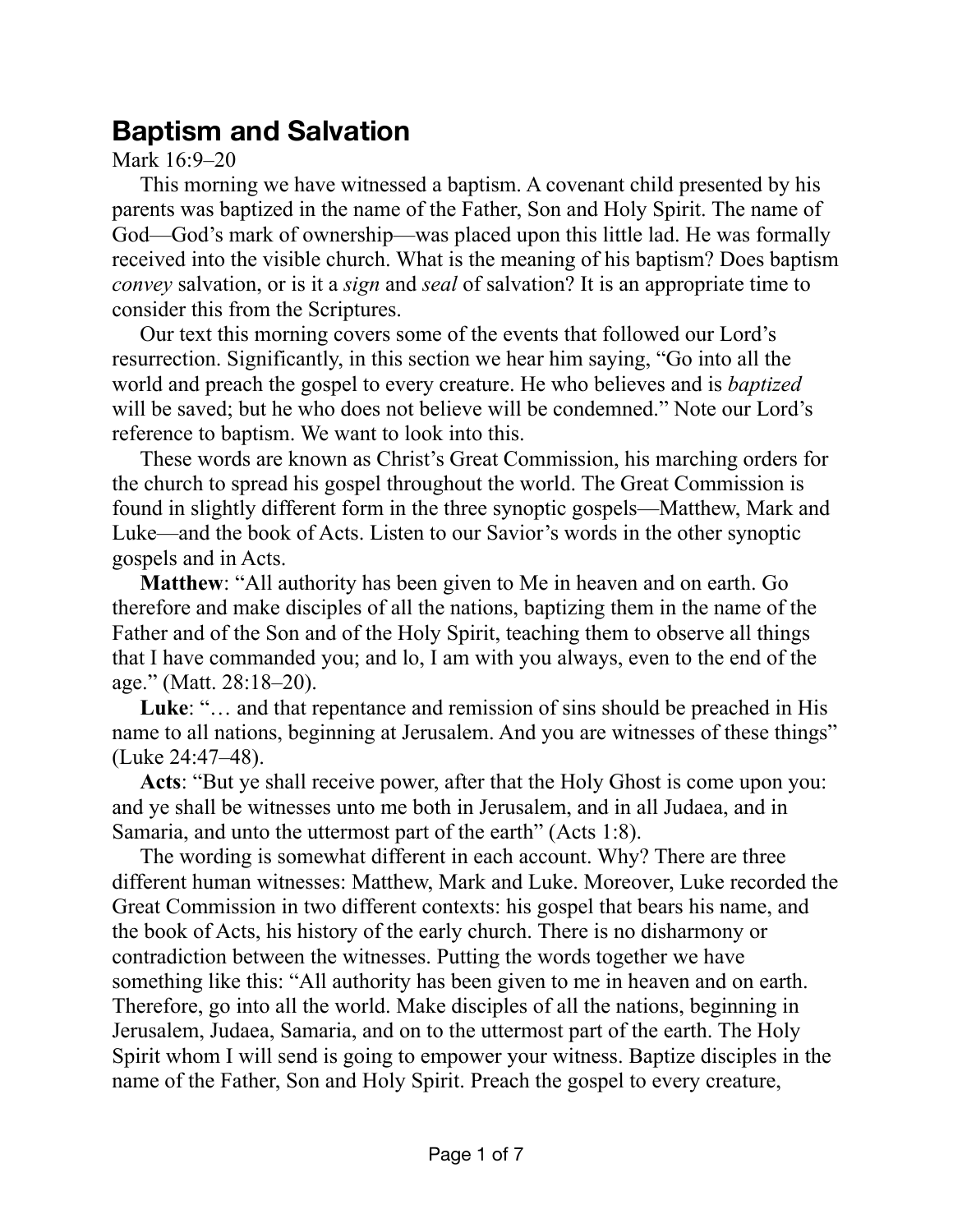## **Baptism and Salvation**

Mark 16:9–20

This morning we have witnessed a baptism. A covenant child presented by his parents was baptized in the name of the Father, Son and Holy Spirit. The name of God—God's mark of ownership—was placed upon this little lad. He was formally received into the visible church. What is the meaning of his baptism? Does baptism *convey* salvation, or is it a *sign* and *seal* of salvation? It is an appropriate time to consider this from the Scriptures.

Our text this morning covers some of the events that followed our Lord's resurrection. Significantly, in this section we hear him saying, "Go into all the world and preach the gospel to every creature. He who believes and is *baptized* will be saved; but he who does not believe will be condemned." Note our Lord's reference to baptism. We want to look into this.

These words are known as Christ's Great Commission, his marching orders for the church to spread his gospel throughout the world. The Great Commission is found in slightly different form in the three synoptic gospels—Matthew, Mark and Luke—and the book of Acts. Listen to our Savior's words in the other synoptic gospels and in Acts.

**Matthew**: "All authority has been given to Me in heaven and on earth. Go therefore and make disciples of all the nations, baptizing them in the name of the Father and of the Son and of the Holy Spirit, teaching them to observe all things that I have commanded you; and lo, I am with you always, even to the end of the age." (Matt. 28:18–20).

**Luke**: "… and that repentance and remission of sins should be preached in His name to all nations, beginning at Jerusalem. And you are witnesses of these things" (Luke 24:47–48).

**Acts**: "But ye shall receive power, after that the Holy Ghost is come upon you: and ye shall be witnesses unto me both in Jerusalem, and in all Judaea, and in Samaria, and unto the uttermost part of the earth" (Acts 1:8).

The wording is somewhat different in each account. Why? There are three different human witnesses: Matthew, Mark and Luke. Moreover, Luke recorded the Great Commission in two different contexts: his gospel that bears his name, and the book of Acts, his history of the early church. There is no disharmony or contradiction between the witnesses. Putting the words together we have something like this: "All authority has been given to me in heaven and on earth. Therefore, go into all the world. Make disciples of all the nations, beginning in Jerusalem, Judaea, Samaria, and on to the uttermost part of the earth. The Holy Spirit whom I will send is going to empower your witness. Baptize disciples in the name of the Father, Son and Holy Spirit. Preach the gospel to every creature,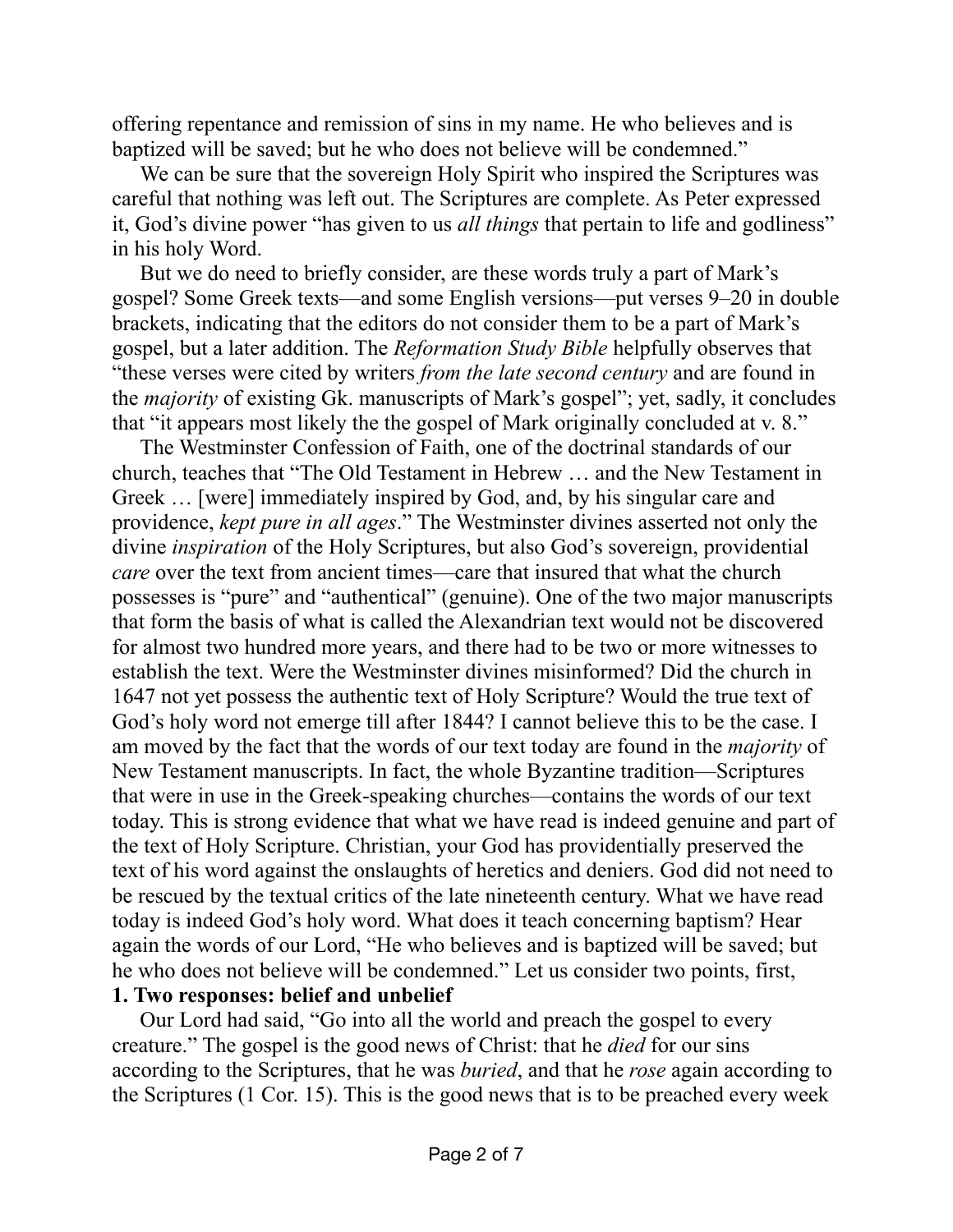offering repentance and remission of sins in my name. He who believes and is baptized will be saved; but he who does not believe will be condemned."

We can be sure that the sovereign Holy Spirit who inspired the Scriptures was careful that nothing was left out. The Scriptures are complete. As Peter expressed it, God's divine power "has given to us *all things* that pertain to life and godliness" in his holy Word.

But we do need to briefly consider, are these words truly a part of Mark's gospel? Some Greek texts—and some English versions—put verses 9–20 in double brackets, indicating that the editors do not consider them to be a part of Mark's gospel, but a later addition. The *Reformation Study Bible* helpfully observes that "these verses were cited by writers *from the late second century* and are found in the *majority* of existing Gk. manuscripts of Mark's gospel"; yet, sadly, it concludes that "it appears most likely the the gospel of Mark originally concluded at v. 8."

The Westminster Confession of Faith, one of the doctrinal standards of our church, teaches that "The Old Testament in Hebrew … and the New Testament in Greek … [were] immediately inspired by God, and, by his singular care and providence, *kept pure in all ages*." The Westminster divines asserted not only the divine *inspiration* of the Holy Scriptures, but also God's sovereign, providential *care* over the text from ancient times—care that insured that what the church possesses is "pure" and "authentical" (genuine). One of the two major manuscripts that form the basis of what is called the Alexandrian text would not be discovered for almost two hundred more years, and there had to be two or more witnesses to establish the text. Were the Westminster divines misinformed? Did the church in 1647 not yet possess the authentic text of Holy Scripture? Would the true text of God's holy word not emerge till after 1844? I cannot believe this to be the case. I am moved by the fact that the words of our text today are found in the *majority* of New Testament manuscripts. In fact, the whole Byzantine tradition—Scriptures that were in use in the Greek-speaking churches—contains the words of our text today. This is strong evidence that what we have read is indeed genuine and part of the text of Holy Scripture. Christian, your God has providentially preserved the text of his word against the onslaughts of heretics and deniers. God did not need to be rescued by the textual critics of the late nineteenth century. What we have read today is indeed God's holy word. What does it teach concerning baptism? Hear again the words of our Lord, "He who believes and is baptized will be saved; but he who does not believe will be condemned." Let us consider two points, first, **1. Two responses: belief and unbelief**

Our Lord had said, "Go into all the world and preach the gospel to every creature." The gospel is the good news of Christ: that he *died* for our sins according to the Scriptures, that he was *buried*, and that he *rose* again according to the Scriptures (1 Cor. 15). This is the good news that is to be preached every week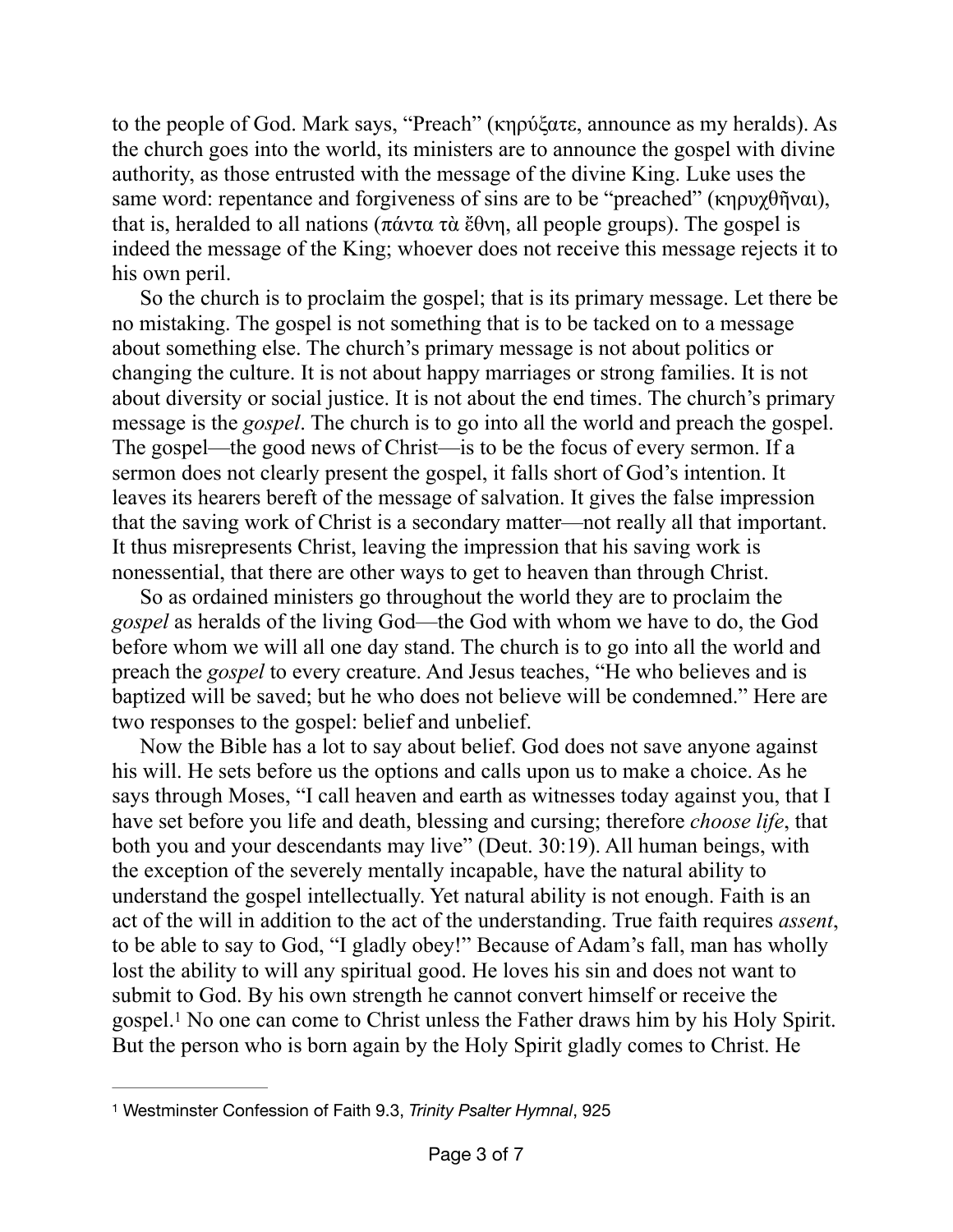to the people of God. Mark says, "Preach" (κηρύξατε, announce as my heralds). As the church goes into the world, its ministers are to announce the gospel with divine authority, as those entrusted with the message of the divine King. Luke uses the same word: repentance and forgiveness of sins are to be "preached" (κηρυχθῆναι), that is, heralded to all nations (πάντα τὰ ἔθνη, all people groups). The gospel is indeed the message of the King; whoever does not receive this message rejects it to his own peril.

So the church is to proclaim the gospel; that is its primary message. Let there be no mistaking. The gospel is not something that is to be tacked on to a message about something else. The church's primary message is not about politics or changing the culture. It is not about happy marriages or strong families. It is not about diversity or social justice. It is not about the end times. The church's primary message is the *gospel*. The church is to go into all the world and preach the gospel. The gospel—the good news of Christ—is to be the focus of every sermon. If a sermon does not clearly present the gospel, it falls short of God's intention. It leaves its hearers bereft of the message of salvation. It gives the false impression that the saving work of Christ is a secondary matter—not really all that important. It thus misrepresents Christ, leaving the impression that his saving work is nonessential, that there are other ways to get to heaven than through Christ.

So as ordained ministers go throughout the world they are to proclaim the *gospel* as heralds of the living God—the God with whom we have to do, the God before whom we will all one day stand. The church is to go into all the world and preach the *gospel* to every creature. And Jesus teaches, "He who believes and is baptized will be saved; but he who does not believe will be condemned." Here are two responses to the gospel: belief and unbelief.

Now the Bible has a lot to say about belief. God does not save anyone against his will. He sets before us the options and calls upon us to make a choice. As he says through Moses, "I call heaven and earth as witnesses today against you, that I have set before you life and death, blessing and cursing; therefore *choose life*, that both you and your descendants may live" (Deut. 30:19). All human beings, with the exception of the severely mentally incapable, have the natural ability to understand the gospel intellectually. Yet natural ability is not enough. Faith is an act of the will in addition to the act of the understanding. True faith requires *assent*, to be able to say to God, "I gladly obey!" Because of Adam's fall, man has wholly lost the ability to will any spiritual good. He loves his sin and does not want to submit to God. By his own strength he cannot convert himself or receive the gospel.<sup>[1](#page-2-0)</sup> No one can come to Christ unless the Father draws him by his Holy Spirit. But the person who is born again by the Holy Spirit gladly comes to Christ. He

<span id="page-2-1"></span><span id="page-2-0"></span>[<sup>1</sup>](#page-2-1) Westminster Confession of Faith 9.3, *Trinity Psalter Hymnal*, 925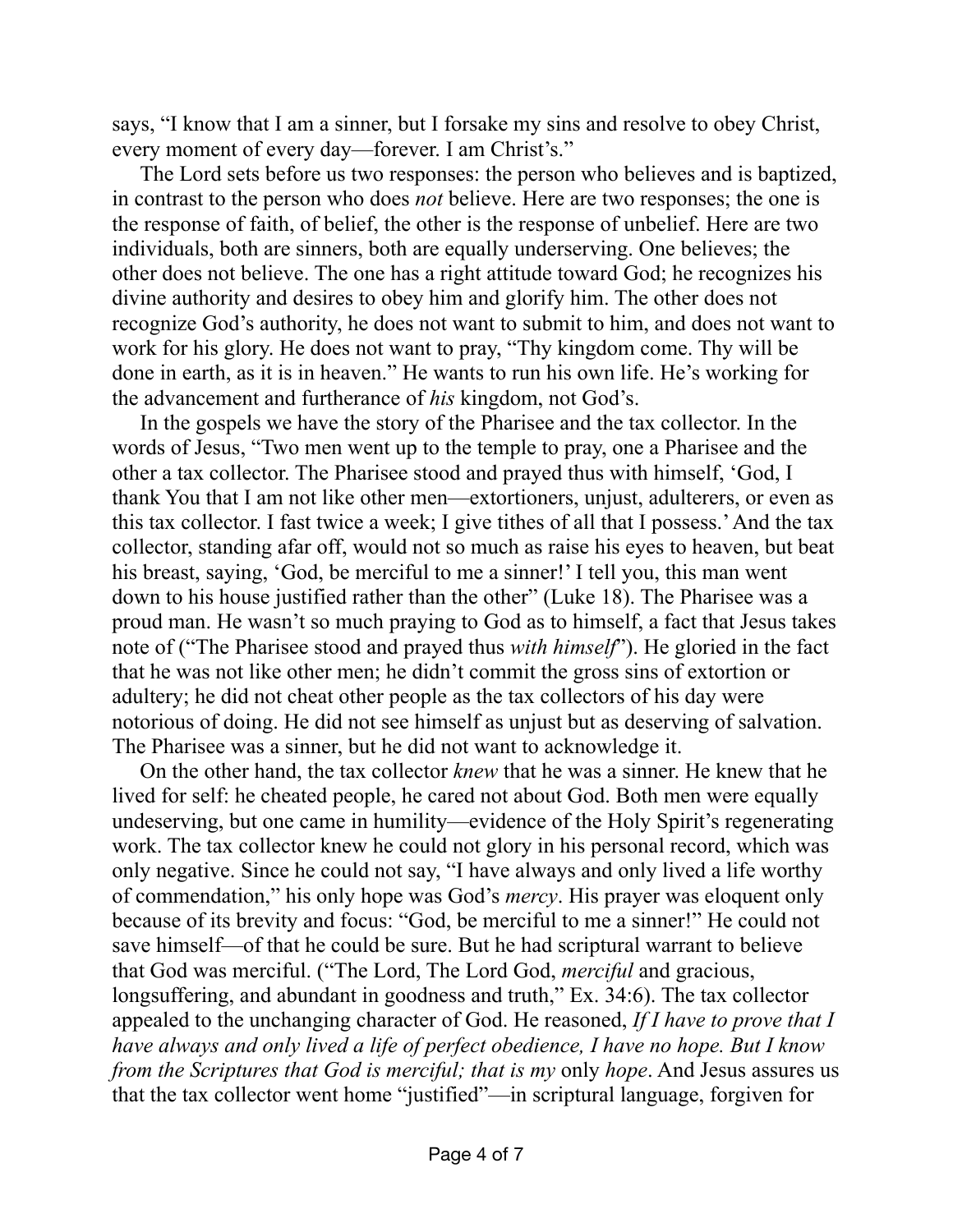says, "I know that I am a sinner, but I forsake my sins and resolve to obey Christ, every moment of every day—forever. I am Christ's."

The Lord sets before us two responses: the person who believes and is baptized, in contrast to the person who does *not* believe. Here are two responses; the one is the response of faith, of belief, the other is the response of unbelief. Here are two individuals, both are sinners, both are equally underserving. One believes; the other does not believe. The one has a right attitude toward God; he recognizes his divine authority and desires to obey him and glorify him. The other does not recognize God's authority, he does not want to submit to him, and does not want to work for his glory. He does not want to pray, "Thy kingdom come. Thy will be done in earth, as it is in heaven." He wants to run his own life. He's working for the advancement and furtherance of *his* kingdom, not God's.

In the gospels we have the story of the Pharisee and the tax collector. In the words of Jesus, "Two men went up to the temple to pray, one a Pharisee and the other a tax collector. The Pharisee stood and prayed thus with himself, 'God, I thank You that I am not like other men—extortioners, unjust, adulterers, or even as this tax collector. I fast twice a week; I give tithes of all that I possess.' And the tax collector, standing afar off, would not so much as raise his eyes to heaven, but beat his breast, saying, 'God, be merciful to me a sinner!' I tell you, this man went down to his house justified rather than the other" (Luke 18). The Pharisee was a proud man. He wasn't so much praying to God as to himself, a fact that Jesus takes note of ("The Pharisee stood and prayed thus *with himself*"). He gloried in the fact that he was not like other men; he didn't commit the gross sins of extortion or adultery; he did not cheat other people as the tax collectors of his day were notorious of doing. He did not see himself as unjust but as deserving of salvation. The Pharisee was a sinner, but he did not want to acknowledge it.

On the other hand, the tax collector *knew* that he was a sinner. He knew that he lived for self: he cheated people, he cared not about God. Both men were equally undeserving, but one came in humility—evidence of the Holy Spirit's regenerating work. The tax collector knew he could not glory in his personal record, which was only negative. Since he could not say, "I have always and only lived a life worthy of commendation," his only hope was God's *mercy*. His prayer was eloquent only because of its brevity and focus: "God, be merciful to me a sinner!" He could not save himself—of that he could be sure. But he had scriptural warrant to believe that God was merciful. ("The Lord, The Lord God, *merciful* and gracious, longsuffering, and abundant in goodness and truth," Ex. 34:6). The tax collector appealed to the unchanging character of God. He reasoned, *If I have to prove that I have always and only lived a life of perfect obedience, I have no hope. But I know from the Scriptures that God is merciful; that is my only hope.* And Jesus assures us that the tax collector went home "justified"—in scriptural language, forgiven for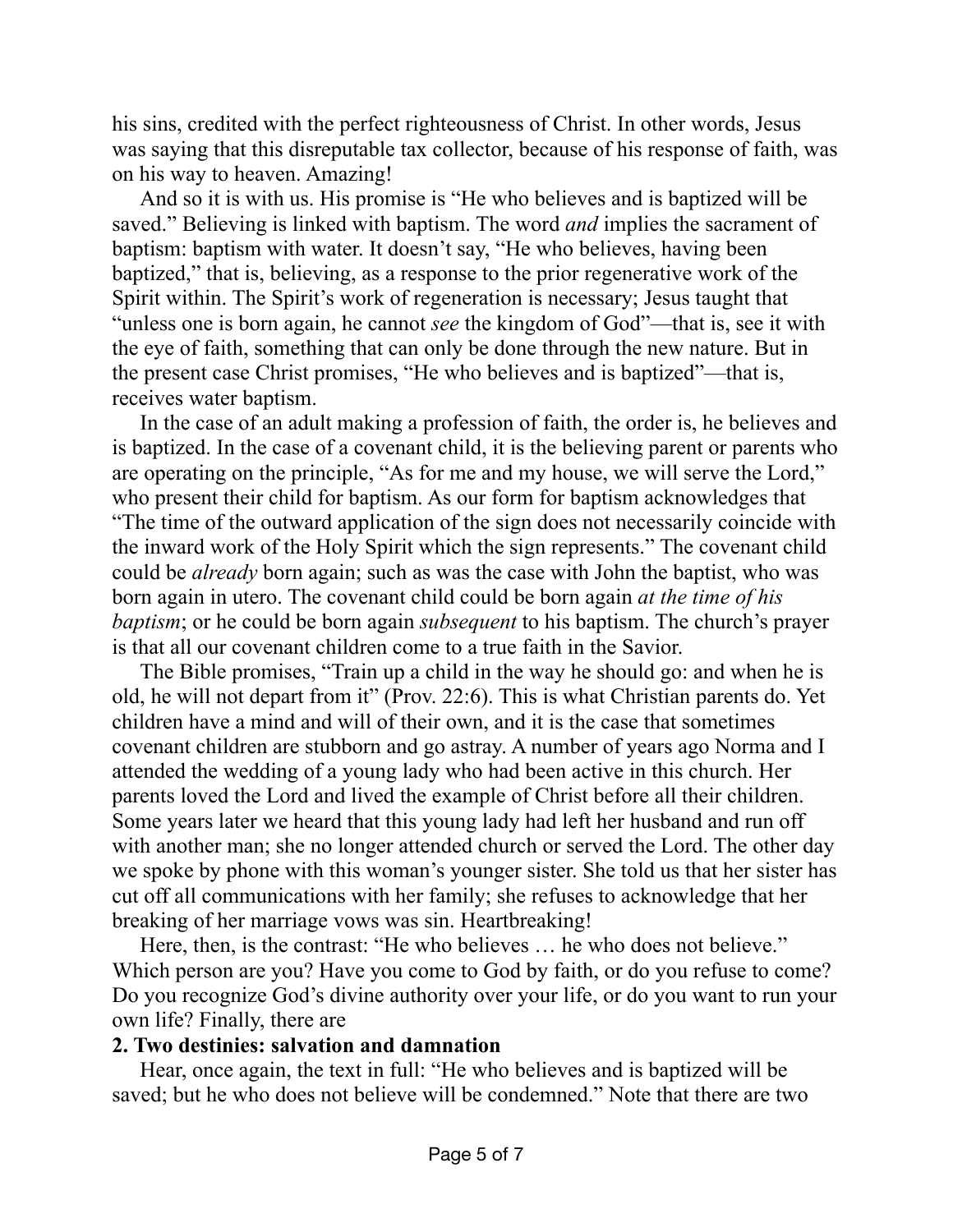his sins, credited with the perfect righteousness of Christ. In other words, Jesus was saying that this disreputable tax collector, because of his response of faith, was on his way to heaven. Amazing!

And so it is with us. His promise is "He who believes and is baptized will be saved." Believing is linked with baptism. The word *and* implies the sacrament of baptism: baptism with water. It doesn't say, "He who believes, having been baptized," that is, believing, as a response to the prior regenerative work of the Spirit within. The Spirit's work of regeneration is necessary; Jesus taught that "unless one is born again, he cannot *see* the kingdom of God"—that is, see it with the eye of faith, something that can only be done through the new nature. But in the present case Christ promises, "He who believes and is baptized"—that is, receives water baptism.

In the case of an adult making a profession of faith, the order is, he believes and is baptized. In the case of a covenant child, it is the believing parent or parents who are operating on the principle, "As for me and my house, we will serve the Lord," who present their child for baptism. As our form for baptism acknowledges that "The time of the outward application of the sign does not necessarily coincide with the inward work of the Holy Spirit which the sign represents." The covenant child could be *already* born again; such as was the case with John the baptist, who was born again in utero. The covenant child could be born again *at the time of his baptism*; or he could be born again *subsequent* to his baptism. The church's prayer is that all our covenant children come to a true faith in the Savior.

The Bible promises, "Train up a child in the way he should go: and when he is old, he will not depart from it" (Prov. 22:6). This is what Christian parents do. Yet children have a mind and will of their own, and it is the case that sometimes covenant children are stubborn and go astray. A number of years ago Norma and I attended the wedding of a young lady who had been active in this church. Her parents loved the Lord and lived the example of Christ before all their children. Some years later we heard that this young lady had left her husband and run off with another man; she no longer attended church or served the Lord. The other day we spoke by phone with this woman's younger sister. She told us that her sister has cut off all communications with her family; she refuses to acknowledge that her breaking of her marriage vows was sin. Heartbreaking!

Here, then, is the contrast: "He who believes … he who does not believe." Which person are you? Have you come to God by faith, or do you refuse to come? Do you recognize God's divine authority over your life, or do you want to run your own life? Finally, there are

## **2. Two destinies: salvation and damnation**

Hear, once again, the text in full: "He who believes and is baptized will be saved; but he who does not believe will be condemned." Note that there are two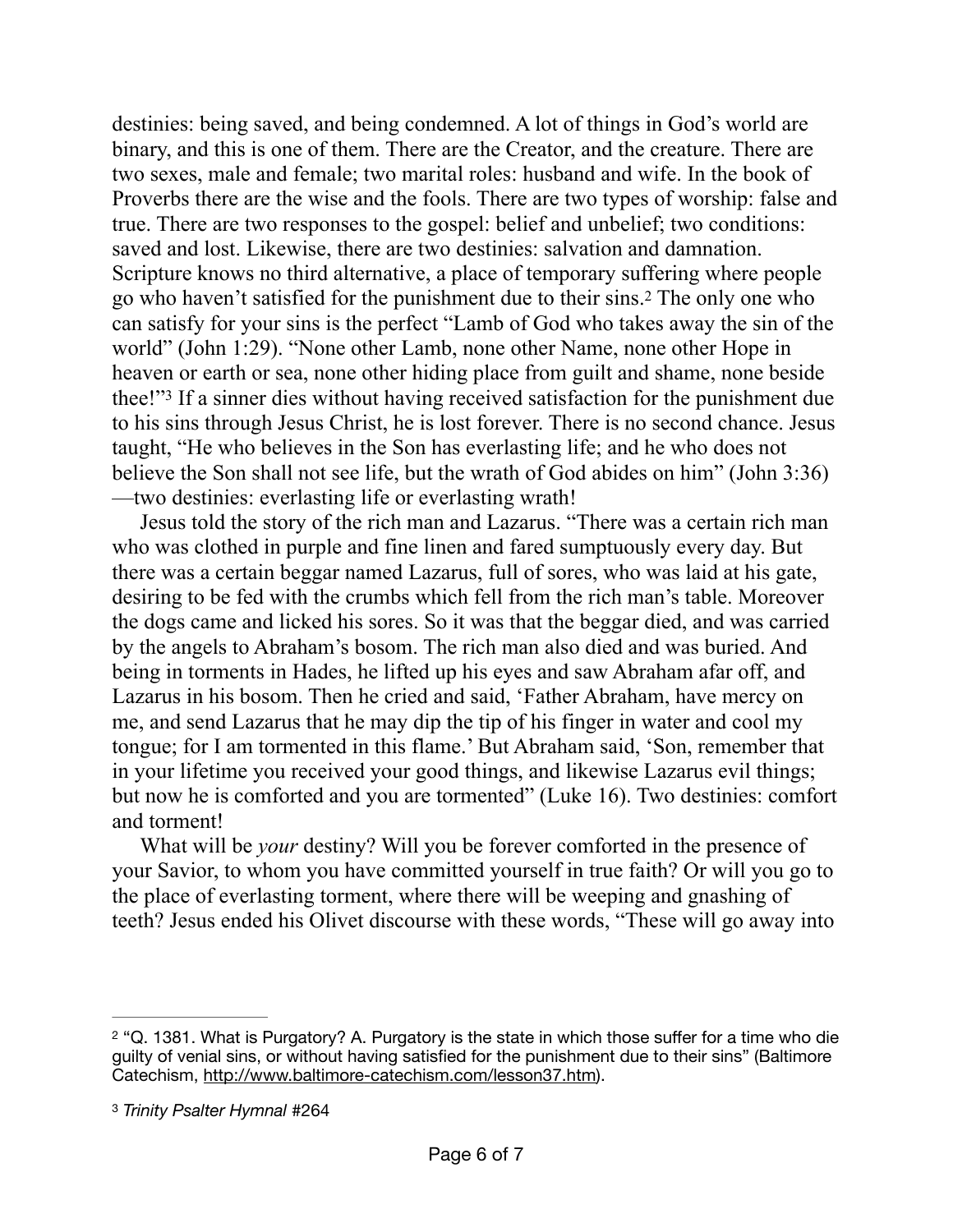<span id="page-5-2"></span>destinies: being saved, and being condemned. A lot of things in God's world are binary, and this is one of them. There are the Creator, and the creature. There are two sexes, male and female; two marital roles: husband and wife. In the book of Proverbs there are the wise and the fools. There are two types of worship: false and true. There are two responses to the gospel: belief and unbelief; two conditions: saved and lost. Likewise, there are two destinies: salvation and damnation. Scripture knows no third alternative, a place of temporary suffering where people go who haven't satisfied for the punishment due to their sins.<sup>[2](#page-5-0)</sup> The only one who can satisfy for your sins is the perfect "Lamb of God who takes away the sin of the world" (John 1:29). "None other Lamb, none other Name, none other Hope in heaven or earth or sea, none other hiding place from guilt and shame, none beside thee!"<sup>[3](#page-5-1)</sup> If a sinner dies without having received satisfaction for the punishment due to his sins through Jesus Christ, he is lost forever. There is no second chance. Jesus taught, "He who believes in the Son has everlasting life; and he who does not believe the Son shall not see life, but the wrath of God abides on him" (John 3:36) —two destinies: everlasting life or everlasting wrath!

<span id="page-5-3"></span>Jesus told the story of the rich man and Lazarus. "There was a certain rich man who was clothed in purple and fine linen and fared sumptuously every day. But there was a certain beggar named Lazarus, full of sores, who was laid at his gate, desiring to be fed with the crumbs which fell from the rich man's table. Moreover the dogs came and licked his sores. So it was that the beggar died, and was carried by the angels to Abraham's bosom. The rich man also died and was buried. And being in torments in Hades, he lifted up his eyes and saw Abraham afar off, and Lazarus in his bosom. Then he cried and said, 'Father Abraham, have mercy on me, and send Lazarus that he may dip the tip of his finger in water and cool my tongue; for I am tormented in this flame.' But Abraham said, 'Son, remember that in your lifetime you received your good things, and likewise Lazarus evil things; but now he is comforted and you are tormented" (Luke 16). Two destinies: comfort and torment!

What will be *your* destiny? Will you be forever comforted in the presence of your Savior, to whom you have committed yourself in true faith? Or will you go to the place of everlasting torment, where there will be weeping and gnashing of teeth? Jesus ended his Olivet discourse with these words, "These will go away into

<span id="page-5-0"></span><sup>&</sup>lt;sup>[2](#page-5-2)</sup> "Q. 1381. What is Purgatory? A. Purgatory is the state in which those suffer for a time who die guilty of venial sins, or without having satisfied for the punishment due to their sins" (Baltimore Catechism, <http://www.baltimore-catechism.com/lesson37.htm>).

<span id="page-5-1"></span>[<sup>3</sup>](#page-5-3) *Trinity Psalter Hymnal* #264